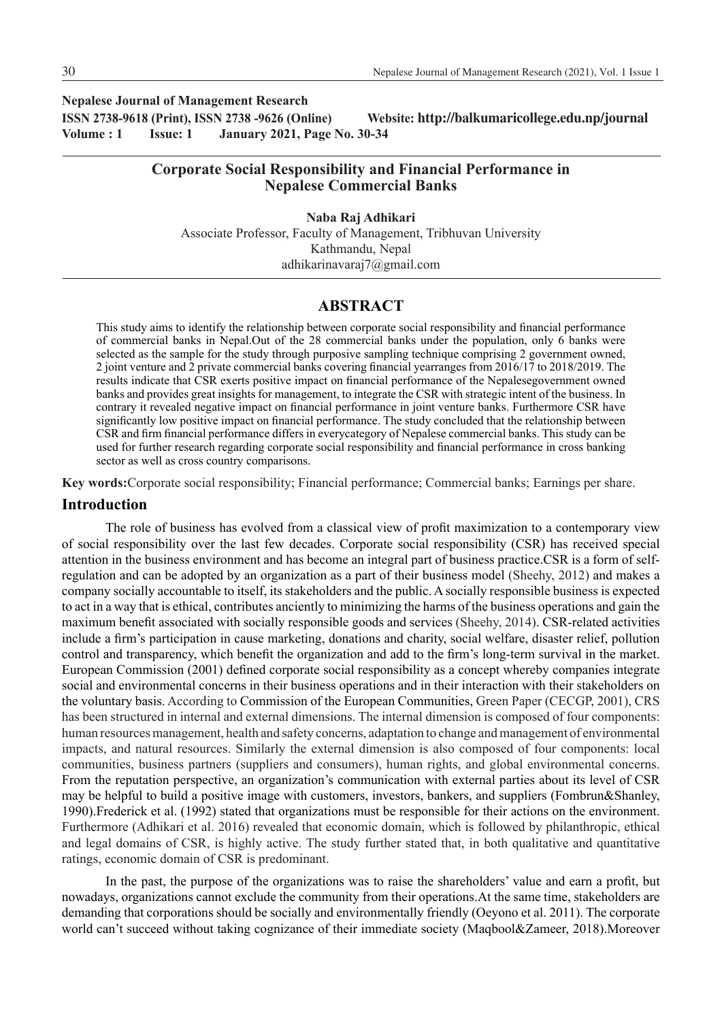**Nepalese Journal of Management Research ISSN 2738-9618 (Print), ISSN 2738 -9626 (Online) Website: http://balkumaricollege.edu.np/journal Volume : 1 Issue: 1 January 2021, Page No. 30-34**

# **Corporate Social Responsibility and Financial Performance in Nepalese Commercial Banks**

**Naba Raj Adhikari** Associate Professor, Faculty of Management, Tribhuvan University Kathmandu, Nepal adhikarinavaraj7@gmail.com

## **ABSTRACT**

This study aims to identify the relationship between corporate social responsibility and financial performance of commercial banks in Nepal.Out of the 28 commercial banks under the population, only 6 banks were selected as the sample for the study through purposive sampling technique comprising 2 government owned, 2 joint venture and 2 private commercial banks covering financial yearranges from 2016/17 to 2018/2019. The results indicate that CSR exerts positive impact on financial performance of the Nepalesegovernment owned banks and provides great insights for management, to integrate the CSR with strategic intent of the business. In contrary it revealed negative impact on financial performance in joint venture banks. Furthermore CSR have significantly low positive impact on financial performance. The study concluded that the relationship between CSR and firm financial performance differs in everycategory of Nepalese commercial banks. This study can be used for further research regarding corporate social responsibility and financial performance in cross banking sector as well as cross country comparisons.

**Key words:**Corporate social responsibility; Financial performance; Commercial banks; Earnings per share.

### **Introduction**

The role of business has evolved from a classical view of profit maximization to a contemporary view of social responsibility over the last few decades. Corporate social responsibility (CSR) has received special attention in the business environment and has become an integral part of business practice.CSR is a form of selfregulation and can be adopted by an organization as a part of their business model (Sheehy, 2012) and makes a company socially accountable to itself, its stakeholders and the public. A socially responsible business is expected to act in a way that is ethical, contributes anciently to minimizing the harms of the business operations and gain the maximum benefit associated with socially responsible goods and services (Sheehy, 2014). CSR-related activities include a firm's participation in cause marketing, donations and charity, social welfare, disaster relief, pollution control and transparency, which benefit the organization and add to the firm's long-term survival in the market. European Commission (2001) defined corporate social responsibility as a concept whereby companies integrate social and environmental concerns in their business operations and in their interaction with their stakeholders on the voluntary basis. According to Commission of the European Communities, Green Paper (CECGP, 2001), CRS has been structured in internal and external dimensions. The internal dimension is composed of four components: human resources management, health and safety concerns, adaptation to change and management of environmental impacts, and natural resources. Similarly the external dimension is also composed of four components: local communities, business partners (suppliers and consumers), human rights, and global environmental concerns. From the reputation perspective, an organization's communication with external parties about its level of CSR may be helpful to build a positive image with customers, investors, bankers, and suppliers (Fombrun&Shanley, 1990).Frederick et al. (1992) stated that organizations must be responsible for their actions on the environment. Furthermore (Adhikari et al. 2016) revealed that economic domain, which is followed by philanthropic, ethical and legal domains of CSR, is highly active. The study further stated that, in both qualitative and quantitative ratings, economic domain of CSR is predominant.

In the past, the purpose of the organizations was to raise the shareholders' value and earn a profit, but nowadays, organizations cannot exclude the community from their operations.At the same time, stakeholders are demanding that corporations should be socially and environmentally friendly (Oeyono et al. 2011). The corporate world can't succeed without taking cognizance of their immediate society (Maqbool&Zameer, 2018).Moreover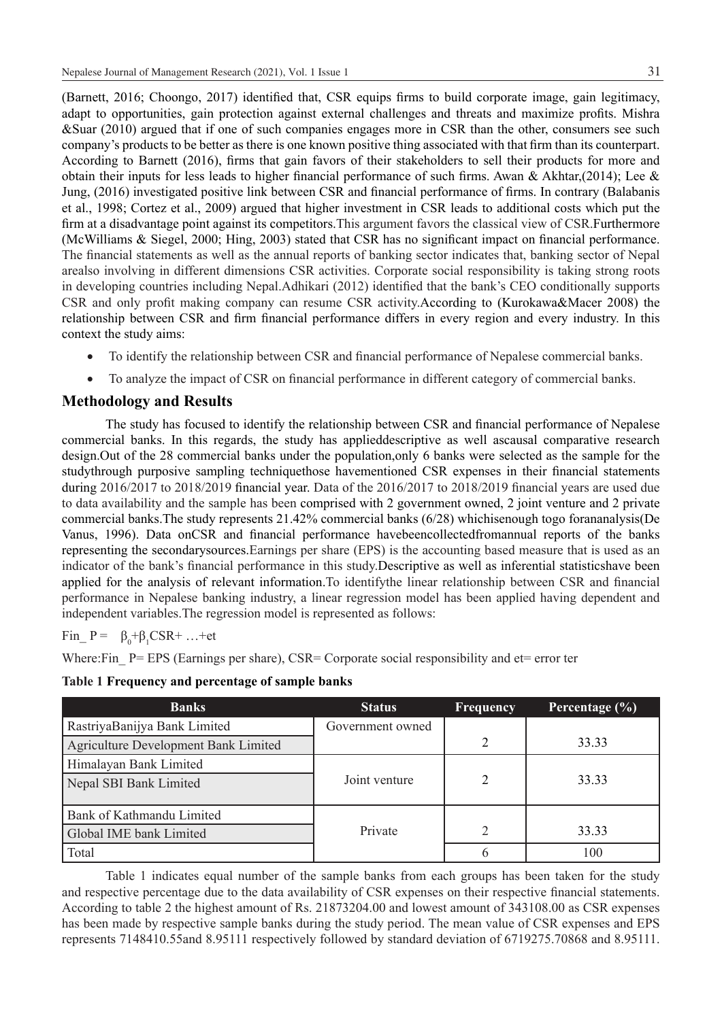(Barnett, 2016; Choongo, 2017) identified that, CSR equips firms to build corporate image, gain legitimacy, adapt to opportunities, gain protection against external challenges and threats and maximize profits. Mishra &Suar (2010) argued that if one of such companies engages more in CSR than the other, consumers see such company's products to be better as there is one known positive thing associated with that firm than its counterpart. According to Barnett (2016), firms that gain favors of their stakeholders to sell their products for more and obtain their inputs for less leads to higher financial performance of such firms. Awan & Akhtar,(2014); Lee & Jung, (2016) investigated positive link between CSR and financial performance of firms. In contrary (Balabanis et al., 1998; Cortez et al., 2009) argued that higher investment in CSR leads to additional costs which put the firm at a disadvantage point against its competitors.This argument favors the classical view of CSR.Furthermore (McWilliams & Siegel, 2000; Hing, 2003) stated that CSR has no significant impact on financial performance. The financial statements as well as the annual reports of banking sector indicates that, banking sector of Nepal arealso involving in different dimensions CSR activities. Corporate social responsibility is taking strong roots in developing countries including Nepal.Adhikari (2012) identified that the bank's CEO conditionally supports CSR and only profit making company can resume CSR activity.According to (Kurokawa&Macer 2008) the relationship between CSR and firm financial performance differs in every region and every industry. In this context the study aims:

- To identify the relationship between CSR and financial performance of Nepalese commercial banks.
- To analyze the impact of CSR on financial performance in different category of commercial banks.

# **Methodology and Results**

The study has focused to identify the relationship between CSR and financial performance of Nepalese commercial banks. In this regards, the study has applieddescriptive as well ascausal comparative research design.Out of the 28 commercial banks under the population,only 6 banks were selected as the sample for the studythrough purposive sampling techniquethose havementioned CSR expenses in their financial statements during 2016/2017 to 2018/2019 financial year. Data of the 2016/2017 to 2018/2019 financial years are used due to data availability and the sample has been comprised with 2 government owned, 2 joint venture and 2 private commercial banks.The study represents 21.42% commercial banks (6/28) whichisenough togo forananalysis(De Vanus, 1996). Data onCSR and financial performance havebeencollectedfromannual reports of the banks representing the secondarysources.Earnings per share (EPS) is the accounting based measure that is used as an indicator of the bank's financial performance in this study.Descriptive as well as inferential statisticshave been applied for the analysis of relevant information.To identifythe linear relationship between CSR and financial performance in Nepalese banking industry, a linear regression model has been applied having dependent and independent variables.The regression model is represented as follows:

$$
Fin_{-} P = \beta_0 + \beta_1 CSR + ... + et
$$

Where:Fin  $P = EPS$  (Earnings per share), CSR= Corporate social responsibility and et= error ter

|  |  |  |  |  |  | Table 1 Frequency and percentage of sample banks |
|--|--|--|--|--|--|--------------------------------------------------|
|--|--|--|--|--|--|--------------------------------------------------|

| <b>Banks</b>                         | <b>Status</b>    | <b>Frequency</b> | Percentage $(\% )$ |
|--------------------------------------|------------------|------------------|--------------------|
| RastriyaBanijya Bank Limited         | Government owned |                  |                    |
| Agriculture Development Bank Limited |                  |                  | 33.33              |
| Himalayan Bank Limited               |                  |                  |                    |
| Nepal SBI Bank Limited               | Joint venture    |                  | 33.33              |
|                                      |                  |                  |                    |
| Bank of Kathmandu Limited            |                  |                  |                    |
| Global IME bank Limited              | Private          | $\gamma$         | 33.33              |
| Total                                |                  | b                | 100                |

Table 1 indicates equal number of the sample banks from each groups has been taken for the study and respective percentage due to the data availability of CSR expenses on their respective financial statements. According to table 2 the highest amount of Rs. 21873204.00 and lowest amount of 343108.00 as CSR expenses has been made by respective sample banks during the study period. The mean value of CSR expenses and EPS represents 7148410.55and 8.95111 respectively followed by standard deviation of 6719275.70868 and 8.95111.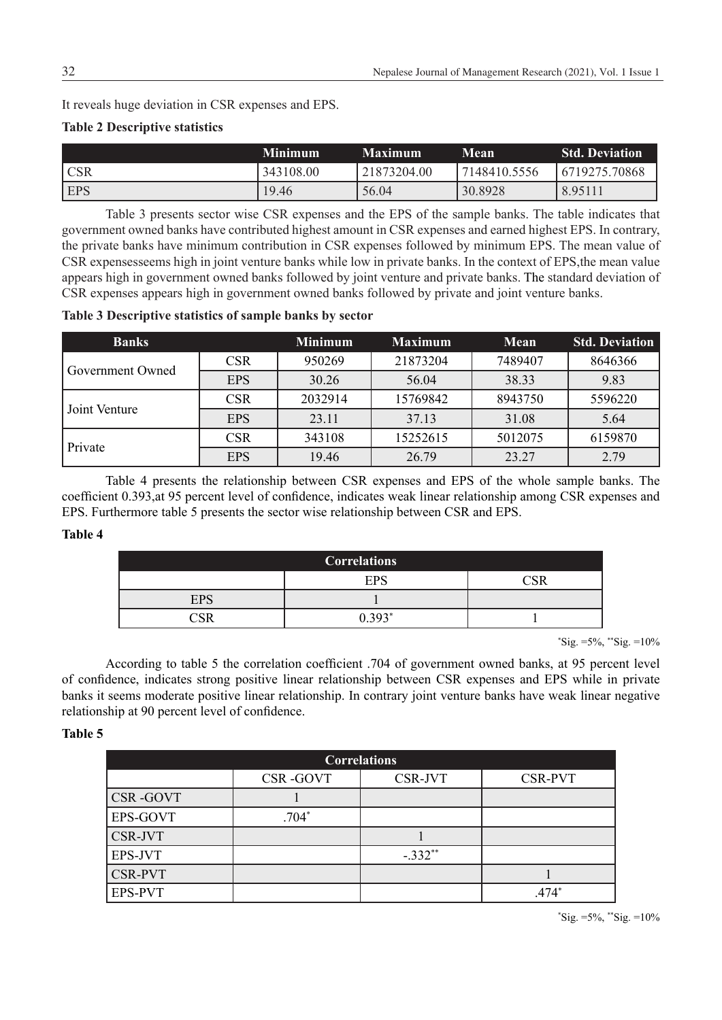It reveals huge deviation in CSR expenses and EPS.

## **Table 2 Descriptive statistics**

|            | <b>Minimum</b> | <b>Maximum</b> | <b>Mean</b>  | <b>Std. Deviation</b> |
|------------|----------------|----------------|--------------|-----------------------|
| <b>CSR</b> | 343108.00      | 21873204.00    | 7148410.5556 | 6719275.70868         |
| <b>EPS</b> | 19.46          | 56.04          | 30.8928      | 8.95111               |

Table 3 presents sector wise CSR expenses and the EPS of the sample banks. The table indicates that government owned banks have contributed highest amount in CSR expenses and earned highest EPS. In contrary, the private banks have minimum contribution in CSR expenses followed by minimum EPS. The mean value of CSR expensesseems high in joint venture banks while low in private banks. In the context of EPS,the mean value appears high in government owned banks followed by joint venture and private banks. The standard deviation of CSR expenses appears high in government owned banks followed by private and joint venture banks.

**Table 3 Descriptive statistics of sample banks by sector**

| <b>Banks</b>     |            | <b>Minimum</b> | <b>Maximum</b> | Mean    | <b>Std. Deviation</b> |
|------------------|------------|----------------|----------------|---------|-----------------------|
|                  | <b>CSR</b> | 950269         | 21873204       | 7489407 | 8646366               |
| Government Owned | <b>EPS</b> | 30.26          | 56.04          | 38.33   | 9.83                  |
|                  | <b>CSR</b> | 2032914        | 15769842       | 8943750 | 5596220               |
| Joint Venture    | <b>EPS</b> | 23.11          | 37.13          | 31.08   | 5.64                  |
| Private          | <b>CSR</b> | 343108         | 15252615       | 5012075 | 6159870               |
|                  | <b>EPS</b> | 19.46          | 26.79          | 23.27   | 2.79                  |

Table 4 presents the relationship between CSR expenses and EPS of the whole sample banks. The coefficient 0.393,at 95 percent level of confidence, indicates weak linear relationship among CSR expenses and EPS. Furthermore table 5 presents the sector wise relationship between CSR and EPS.

### **Table 4**

| <b>Correlations</b> |     |  |  |  |  |  |
|---------------------|-----|--|--|--|--|--|
|                     | EPS |  |  |  |  |  |
| <b>EPS</b>          |     |  |  |  |  |  |
|                     |     |  |  |  |  |  |

 $\text{``Sig.} = 5\%, \text{``Sig.} = 10\%$ 

According to table 5 the correlation coefficient .704 of government owned banks, at 95 percent level of confidence, indicates strong positive linear relationship between CSR expenses and EPS while in private banks it seems moderate positive linear relationship. In contrary joint venture banks have weak linear negative relationship at 90 percent level of confidence.

### **Table 5**

| <b>Correlations</b> |                 |           |                |  |  |  |  |
|---------------------|-----------------|-----------|----------------|--|--|--|--|
|                     | <b>CSR-GOVT</b> | CSR-JVT   | <b>CSR-PVT</b> |  |  |  |  |
| CSR-GOVT            |                 |           |                |  |  |  |  |
| EPS-GOVT            | $.704*$         |           |                |  |  |  |  |
| CSR-JVT             |                 |           |                |  |  |  |  |
| EPS-JVT             |                 | $-.332**$ |                |  |  |  |  |
| <b>CSR-PVT</b>      |                 |           |                |  |  |  |  |
| <b>EPS-PVT</b>      |                 |           | $.474*$        |  |  |  |  |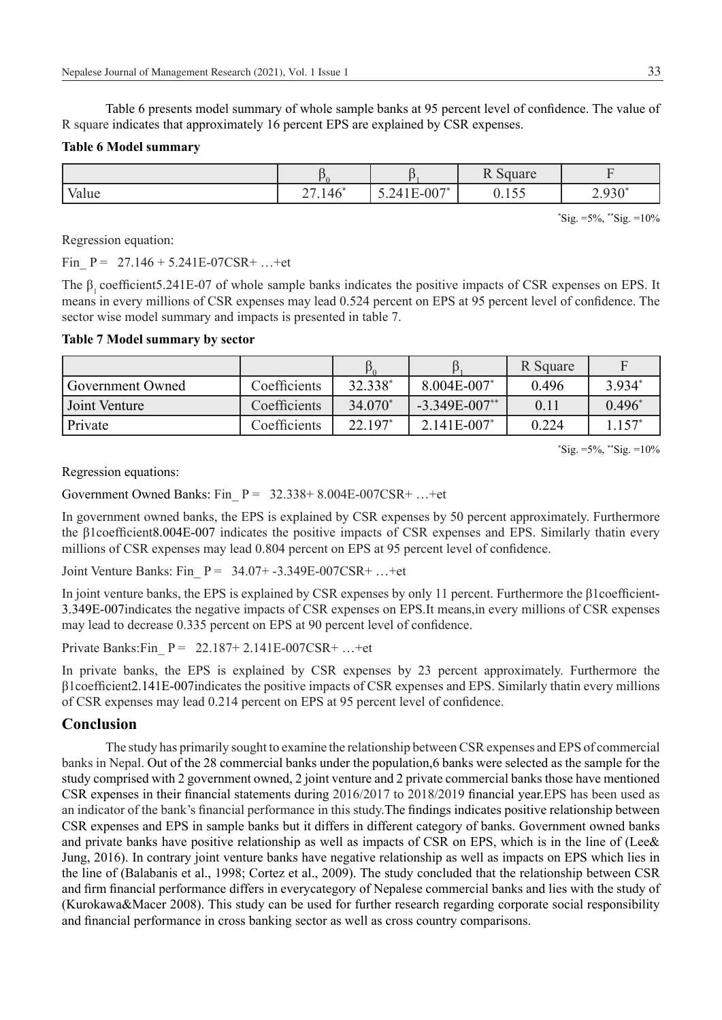Table 6 presents model summary of whole sample banks at 95 percent level of confidence. The value of R square indicates that approximately 16 percent EPS are explained by CSR expenses.

#### **Table 6 Model summary**

|                       |                          |                               | $\mathbf{r} \cap \mathbf{r}$<br><b>Pullate</b><br>$\overline{11}$ |                  |
|-----------------------|--------------------------|-------------------------------|-------------------------------------------------------------------|------------------|
| $\mathbf{X}$<br>Value | $A \setminus K$<br>2/140 | $-007"$<br>$\Delta$<br>◡.↩⊤⊥⊥ | - -<br>0.100                                                      | $030^*$<br>2.950 |

\* Sig. =5%, \*\*Sig. =10%

Regression equation:

Fin  $P = 27.146 + 5.241E-07CSR+ ...+et$ 

The β, coefficient5.241E-07 of whole sample banks indicates the positive impacts of CSR expenses on EPS. It means in every millions of CSR expenses may lead 0.524 percent on EPS at 95 percent level of confidence. The sector wise model summary and impacts is presented in table 7.

#### **Table 7 Model summary by sector**

|                  |              |            |                    | R Square |          |
|------------------|--------------|------------|--------------------|----------|----------|
| Government Owned | Coefficients | 32.338*    | $8.004E - 007$     | 0.496    | 3.934*   |
| Joint Venture    | Coefficients | $34.070*$  | $-3.349E - 007$ ** | 0.11     | $0.496*$ |
| Private          | Coefficients | $22.197^*$ | $2.141E - 007$ *   | 0.224    | $157*$   |

 $\text{``Sig.} = 5\%, \text{``Sig.} = 10\%$ 

Regression equations:

Government Owned Banks: Fin  $P = 32.338 + 8.004E-007CSR + ...+et$ 

In government owned banks, the EPS is explained by CSR expenses by 50 percent approximately. Furthermore the β1coefficient8.004E-007 indicates the positive impacts of CSR expenses and EPS. Similarly thatin every millions of CSR expenses may lead 0.804 percent on EPS at 95 percent level of confidence.

Joint Venture Banks: Fin\_ P = 34.07+ -3.349E-007CSR+ …+et

In joint venture banks, the EPS is explained by CSR expenses by only 11 percent. Furthermore the β1coefficient-3.349E-007indicates the negative impacts of CSR expenses on EPS.It means,in every millions of CSR expenses may lead to decrease 0.335 percent on EPS at 90 percent level of confidence.

Private Banks: Fin  $P = 22.187 + 2.141E - 007CSR + ... +et$ 

In private banks, the EPS is explained by CSR expenses by 23 percent approximately. Furthermore the β1coefficient2.141E-007indicates the positive impacts of CSR expenses and EPS. Similarly thatin every millions of CSR expenses may lead 0.214 percent on EPS at 95 percent level of confidence.

## **Conclusion**

The study has primarily sought to examine the relationship between CSR expenses and EPS of commercial banks in Nepal. Out of the 28 commercial banks under the population,6 banks were selected as the sample for the study comprised with 2 government owned, 2 joint venture and 2 private commercial banks those have mentioned CSR expenses in their financial statements during 2016/2017 to 2018/2019 financial year.EPS has been used as an indicator of the bank's financial performance in this study.The findings indicates positive relationship between CSR expenses and EPS in sample banks but it differs in different category of banks. Government owned banks and private banks have positive relationship as well as impacts of CSR on EPS, which is in the line of (Lee& Jung, 2016). In contrary joint venture banks have negative relationship as well as impacts on EPS which lies in the line of (Balabanis et al., 1998; Cortez et al., 2009). The study concluded that the relationship between CSR and firm financial performance differs in everycategory of Nepalese commercial banks and lies with the study of (Kurokawa&Macer 2008). This study can be used for further research regarding corporate social responsibility and financial performance in cross banking sector as well as cross country comparisons.